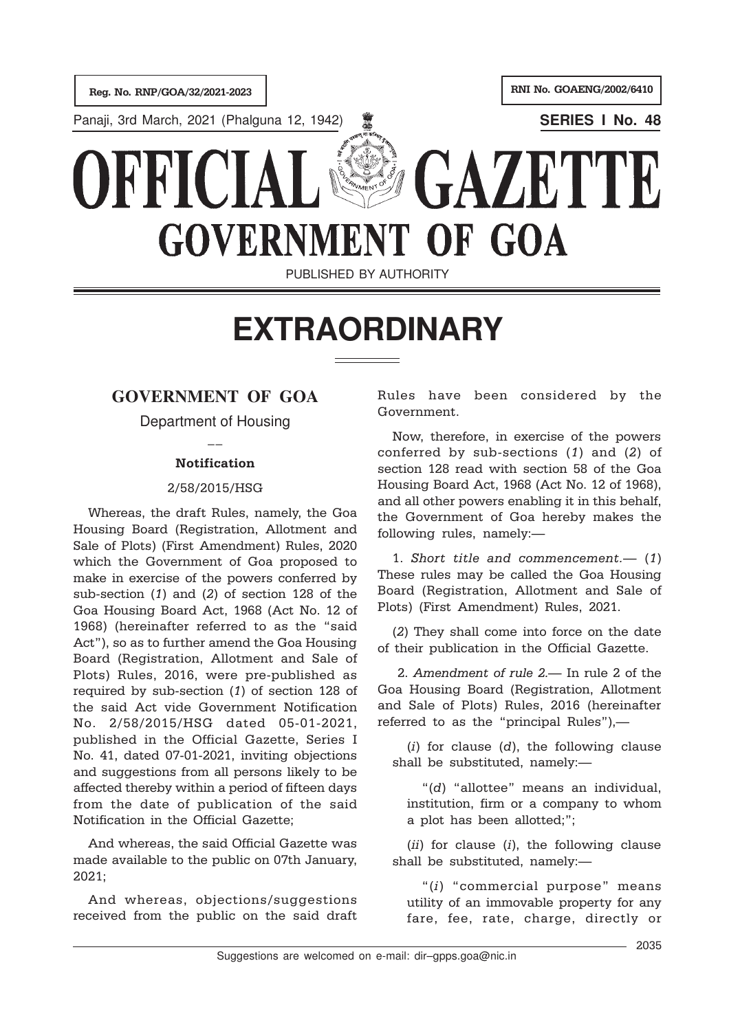

# **EXTRAORDINARY**

# **GOVERNMENT OF GOA**

Department of Housing

## $\overline{a}$ Notification

### 2/58/2015/HSG

Whereas, the draft Rules, namely, the Goa Housing Board (Registration, Allotment and Sale of Plots) (First Amendment) Rules, 2020 which the Government of Goa proposed to make in exercise of the powers conferred by sub-section (1) and (2) of section 128 of the Goa Housing Board Act, 1968 (Act No. 12 of 1968) (hereinafter referred to as the "said Act"), so as to further amend the Goa Housing Board (Registration, Allotment and Sale of Plots) Rules, 2016, were pre-published as required by sub-section (1) of section 128 of the said Act vide Government Notification No. 2/58/2015/HSG dated 05-01-2021, published in the Official Gazette, Series I No. 41, dated 07-01-2021, inviting objections and suggestions from all persons likely to be affected thereby within a period of fifteen days from the date of publication of the said Notification in the Official Gazette;

And whereas, the said Official Gazette was made available to the public on 07th January, 2021;

And whereas, objections/suggestions received from the public on the said draft Rules have been considered by the Government.

Now, therefore, in exercise of the powers conferred by sub-sections (1) and (2) of section 128 read with section 58 of the Goa Housing Board Act, 1968 (Act No. 12 of 1968), and all other powers enabling it in this behalf, the Government of Goa hereby makes the following rules, namely:—

1. Short title and commencement.— (1) These rules may be called the Goa Housing Board (Registration, Allotment and Sale of Plots) (First Amendment) Rules, 2021.

(2) They shall come into force on the date of their publication in the Official Gazette.

 2. Amendment of rule 2.— In rule 2 of the Goa Housing Board (Registration, Allotment and Sale of Plots) Rules, 2016 (hereinafter referred to as the "principal Rules"),—

 $(i)$  for clause  $(d)$ , the following clause shall be substituted, namely:—

"(d) "allottee" means an individual, institution, firm or a company to whom a plot has been allotted;";

 $(ii)$  for clause  $(i)$ , the following clause shall be substituted, namely:—

"(i) "commercial purpose" means utility of an immovable property for any fare, fee, rate, charge, directly or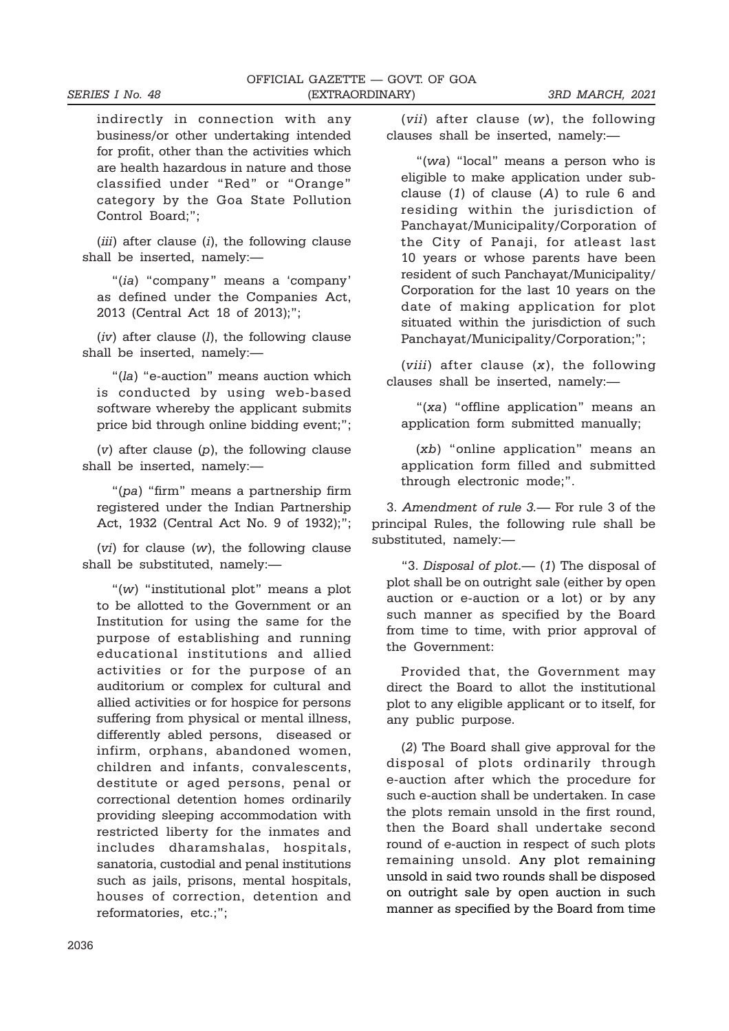indirectly in connection with any business/or other undertaking intended for profit, other than the activities which are health hazardous in nature and those classified under "Red" or "Orange" category by the Goa State Pollution Control Board;";

 $(iii)$  after clause  $(i)$ , the following clause shall be inserted, namely:—

"(ia) "company" means a 'company' as defined under the Companies Act, 2013 (Central Act 18 of 2013);";

 $(iv)$  after clause  $(l)$ , the following clause shall be inserted, namely:—

"(la) "e-auction" means auction which is conducted by using web-based software whereby the applicant submits price bid through online bidding event;";

 $(v)$  after clause  $(p)$ , the following clause shall be inserted, namely:—

"(pa) "firm" means a partnership firm registered under the Indian Partnership Act, 1932 (Central Act No. 9 of 1932);";

(vi) for clause (w), the following clause shall be substituted, namely:—

"(w) "institutional plot" means a plot to be allotted to the Government or an Institution for using the same for the purpose of establishing and running educational institutions and allied activities or for the purpose of an auditorium or complex for cultural and allied activities or for hospice for persons suffering from physical or mental illness, differently abled persons, diseased or infirm, orphans, abandoned women, children and infants, convalescents, destitute or aged persons, penal or correctional detention homes ordinarily providing sleeping accommodation with restricted liberty for the inmates and includes dharamshalas, hospitals, sanatoria, custodial and penal institutions such as jails, prisons, mental hospitals, houses of correction, detention and reformatories, etc.;";

(vii) after clause (w), the following clauses shall be inserted, namely:—

"(wa) "local" means a person who is eligible to make application under subclause  $(1)$  of clause  $(A)$  to rule 6 and residing within the jurisdiction of Panchayat/Municipality/Corporation of the City of Panaji, for atleast last 10 years or whose parents have been resident of such Panchayat/Municipality/ Corporation for the last 10 years on the date of making application for plot situated within the jurisdiction of such Panchayat/Municipality/Corporation;";

(*viii*) after clause  $(x)$ , the following clauses shall be inserted, namely:—

"(xa) "offline application" means an application form submitted manually;

(xb) "online application" means an application form filled and submitted through electronic mode;".

3. Amendment of rule 3.— For rule 3 of the principal Rules, the following rule shall be substituted, namely:—

"3. Disposal of  $plot$   $-$  (1) The disposal of plot shall be on outright sale (either by open auction or e-auction or a lot) or by any such manner as specified by the Board from time to time, with prior approval of the Government:

Provided that, the Government may direct the Board to allot the institutional plot to any eligible applicant or to itself, for any public purpose.

(2) The Board shall give approval for the disposal of plots ordinarily through e-auction after which the procedure for such e-auction shall be undertaken. In case the plots remain unsold in the first round, then the Board shall undertake second round of e-auction in respect of such plots remaining unsold. Any plot remaining unsold in said two rounds shall be disposed on outright sale by open auction in such manner as specified by the Board from time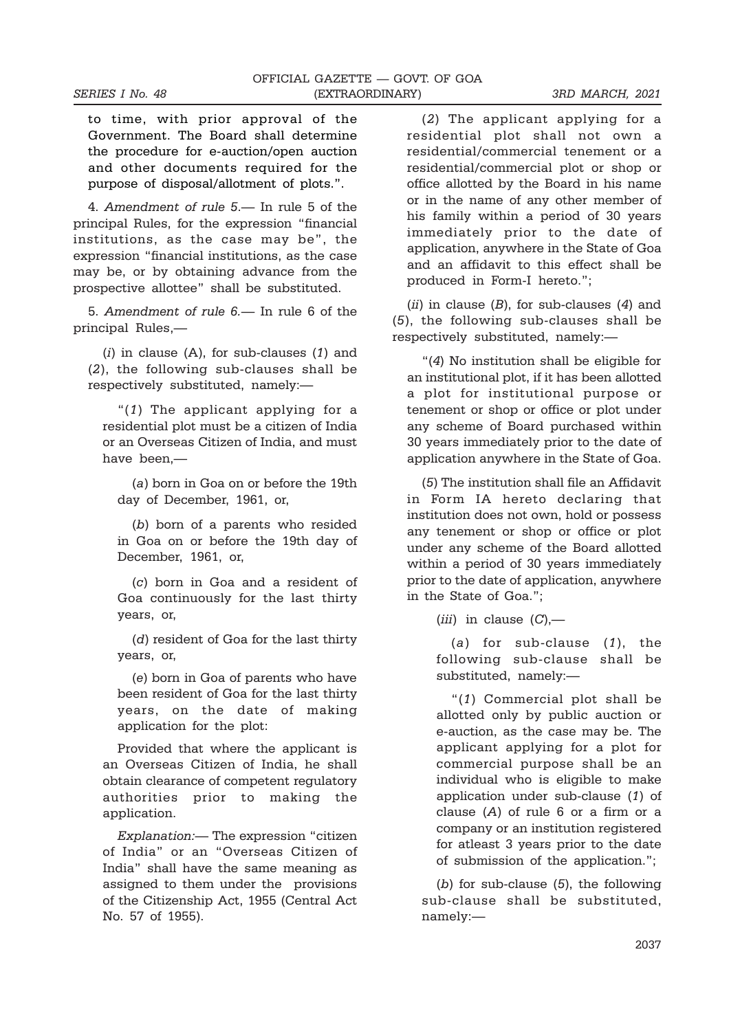to time, with prior approval of the Government. The Board shall determine the procedure for e-auction/open auction and other documents required for the purpose of disposal/allotment of plots.".

4. Amendment of rule 5.— In rule 5 of the principal Rules, for the expression "financial institutions, as the case may be", the expression "financial institutions, as the case may be, or by obtaining advance from the prospective allottee" shall be substituted.

5. Amendment of rule 6.— In rule 6 of the principal Rules,—

 $(i)$  in clause  $(A)$ , for sub-clauses  $(1)$  and (2), the following sub-clauses shall be respectively substituted, namely:—

"(1) The applicant applying for a residential plot must be a citizen of India or an Overseas Citizen of India, and must have been,—

(a) born in Goa on or before the 19th day of December, 1961, or,

(b) born of a parents who resided in Goa on or before the 19th day of December, 1961, or,

(c) born in Goa and a resident of Goa continuously for the last thirty years, or,

(d) resident of Goa for the last thirty years, or,

(e) born in Goa of parents who have been resident of Goa for the last thirty years, on the date of making application for the plot:

Provided that where the applicant is an Overseas Citizen of India, he shall obtain clearance of competent regulatory authorities prior to making the application.

Explanation:— The expression "citizen of India" or an "Overseas Citizen of India" shall have the same meaning as assigned to them under the provisions of the Citizenship Act, 1955 (Central Act No. 57 of 1955).

(2) The applicant applying for a residential plot shall not own a residential/commercial tenement or a residential/commercial plot or shop or office allotted by the Board in his name or in the name of any other member of his family within a period of 30 years immediately prior to the date of application, anywhere in the State of Goa and an affidavit to this effect shall be produced in Form-I hereto.";

(ii) in clause  $(B)$ , for sub-clauses  $(4)$  and (5), the following sub-clauses shall be respectively substituted, namely:—

"(4) No institution shall be eligible for an institutional plot, if it has been allotted a plot for institutional purpose or tenement or shop or office or plot under any scheme of Board purchased within 30 years immediately prior to the date of application anywhere in the State of Goa.

(5) The institution shall file an Affidavit in Form IA hereto declaring that institution does not own, hold or possess any tenement or shop or office or plot under any scheme of the Board allotted within a period of 30 years immediately prior to the date of application, anywhere in the State of Goa.";

(*iii*) in clause  $(C)$ ,—

(a) for sub-clause (1), the following sub-clause shall be substituted, namely:—

"(1) Commercial plot shall be allotted only by public auction or e-auction, as the case may be. The applicant applying for a plot for commercial purpose shall be an individual who is eligible to make application under sub-clause (1) of clause (A) of rule 6 or a firm or a company or an institution registered for atleast 3 years prior to the date of submission of the application.";

 $(b)$  for sub-clause  $(5)$ , the following sub-clause shall be substituted, namely:—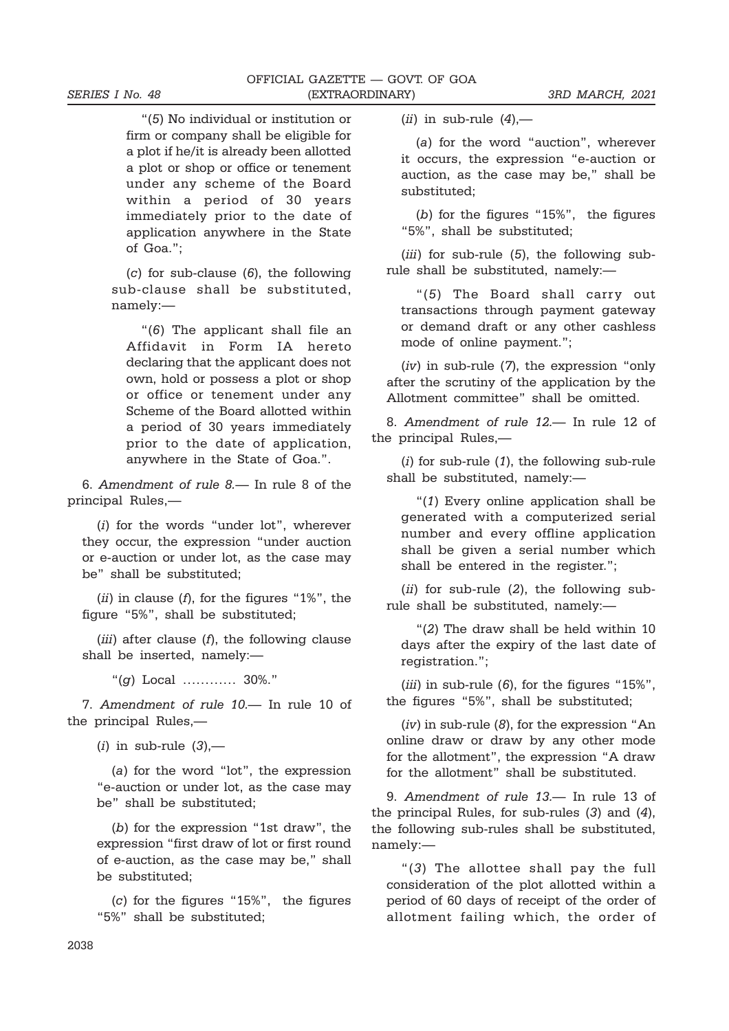"(5) No individual or institution or firm or company shall be eligible for a plot if he/it is already been allotted a plot or shop or office or tenement under any scheme of the Board within a period of 30 years immediately prior to the date of application anywhere in the State of Goa.";

 $(c)$  for sub-clause  $(6)$ , the following sub-clause shall be substituted, namely:—

"(6) The applicant shall file an Affidavit in Form IA hereto declaring that the applicant does not own, hold or possess a plot or shop or office or tenement under any Scheme of the Board allotted within a period of 30 years immediately prior to the date of application, anywhere in the State of Goa.".

6. Amendment of rule 8.— In rule 8 of the principal Rules,—

(i) for the words "under lot", wherever they occur, the expression "under auction or e-auction or under lot, as the case may be" shall be substituted;

 $(ii)$  in clause  $(f)$ , for the figures "1%", the figure "5%", shall be substituted;

(iii) after clause  $(f)$ , the following clause shall be inserted, namely:—

"(g) Local ………… 30%."

7. Amendment of rule 10.— In rule 10 of the principal Rules,—

 $(i)$  in sub-rule  $(3)$ ,-

(a) for the word "lot", the expression "e-auction or under lot, as the case may be" shall be substituted;

(b) for the expression "1st draw", the expression "first draw of lot or first round of e-auction, as the case may be," shall be substituted;

(c) for the figures "15%", the figures "5%" shall be substituted;

(ii) in sub-rule  $(4)$ ,-

(a) for the word "auction", wherever it occurs, the expression "e-auction or auction, as the case may be," shall be substituted;

(b) for the figures "15%", the figures "5%", shall be substituted;

(iii) for sub-rule (5), the following subrule shall be substituted, namely:—

"(5) The Board shall carry out transactions through payment gateway or demand draft or any other cashless mode of online payment.";

(iv) in sub-rule (7), the expression "only after the scrutiny of the application by the Allotment committee" shall be omitted.

8. Amendment of rule 12.— In rule 12 of the principal Rules,—

 $(i)$  for sub-rule  $(1)$ , the following sub-rule shall be substituted, namely:—

"(1) Every online application shall be generated with a computerized serial number and every offline application shall be given a serial number which shall be entered in the register.";

(ii) for sub-rule (2), the following subrule shall be substituted, namely:—

"(2) The draw shall be held within 10 days after the expiry of the last date of registration.";

(iii) in sub-rule (6), for the figures "15%", the figures "5%", shall be substituted;

 $(iv)$  in sub-rule  $(8)$ , for the expression "An online draw or draw by any other mode for the allotment", the expression "A draw for the allotment" shall be substituted.

9. Amendment of rule 13.— In rule 13 of the principal Rules, for sub-rules (3) and (4), the following sub-rules shall be substituted, namely:—

"(3) The allottee shall pay the full consideration of the plot allotted within a period of 60 days of receipt of the order of allotment failing which, the order of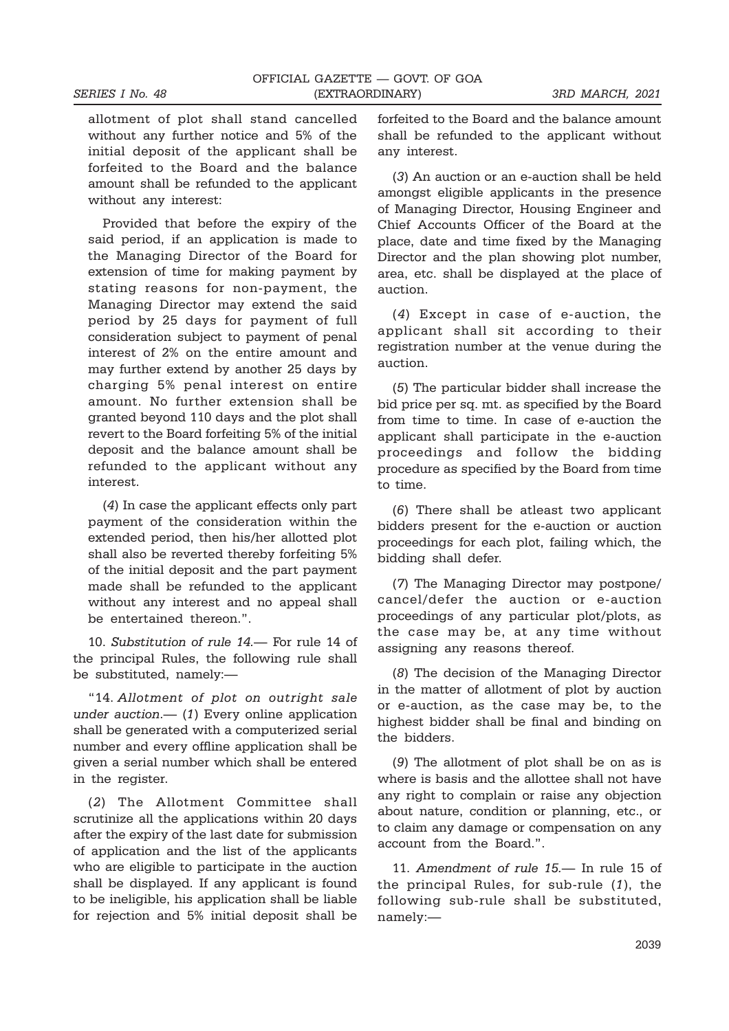allotment of plot shall stand cancelled without any further notice and 5% of the initial deposit of the applicant shall be forfeited to the Board and the balance amount shall be refunded to the applicant without any interest:

Provided that before the expiry of the said period, if an application is made to the Managing Director of the Board for extension of time for making payment by stating reasons for non-payment, the Managing Director may extend the said period by 25 days for payment of full consideration subject to payment of penal interest of 2% on the entire amount and may further extend by another 25 days by charging 5% penal interest on entire amount. No further extension shall be granted beyond 110 days and the plot shall revert to the Board forfeiting 5% of the initial deposit and the balance amount shall be refunded to the applicant without any interest.

(4) In case the applicant effects only part payment of the consideration within the extended period, then his/her allotted plot shall also be reverted thereby forfeiting 5% of the initial deposit and the part payment made shall be refunded to the applicant without any interest and no appeal shall be entertained thereon.".

10. Substitution of rule 14.— For rule 14 of the principal Rules, the following rule shall be substituted, namely:—

"14. Allotment of plot on outright sale under auction. $-$  (1) Every online application shall be generated with a computerized serial number and every offline application shall be given a serial number which shall be entered in the register.

(2) The Allotment Committee shall scrutinize all the applications within 20 days after the expiry of the last date for submission of application and the list of the applicants who are eligible to participate in the auction shall be displayed. If any applicant is found to be ineligible, his application shall be liable for rejection and 5% initial deposit shall be forfeited to the Board and the balance amount shall be refunded to the applicant without any interest.

(3) An auction or an e-auction shall be held amongst eligible applicants in the presence of Managing Director, Housing Engineer and Chief Accounts Officer of the Board at the place, date and time fixed by the Managing Director and the plan showing plot number, area, etc. shall be displayed at the place of auction.

(4) Except in case of e-auction, the applicant shall sit according to their registration number at the venue during the auction.

(5) The particular bidder shall increase the bid price per sq. mt. as specified by the Board from time to time. In case of e-auction the applicant shall participate in the e-auction proceedings and follow the bidding procedure as specified by the Board from time to time.

(6) There shall be atleast two applicant bidders present for the e-auction or auction proceedings for each plot, failing which, the bidding shall defer.

(7) The Managing Director may postpone/ cancel/defer the auction or e-auction proceedings of any particular plot/plots, as the case may be, at any time without assigning any reasons thereof.

(8) The decision of the Managing Director in the matter of allotment of plot by auction or e-auction, as the case may be, to the highest bidder shall be final and binding on the bidders.

(9) The allotment of plot shall be on as is where is basis and the allottee shall not have any right to complain or raise any objection about nature, condition or planning, etc., or to claim any damage or compensation on any account from the Board.".

11. Amendment of rule 15.— In rule 15 of the principal Rules, for sub-rule (1), the following sub-rule shall be substituted, namely:—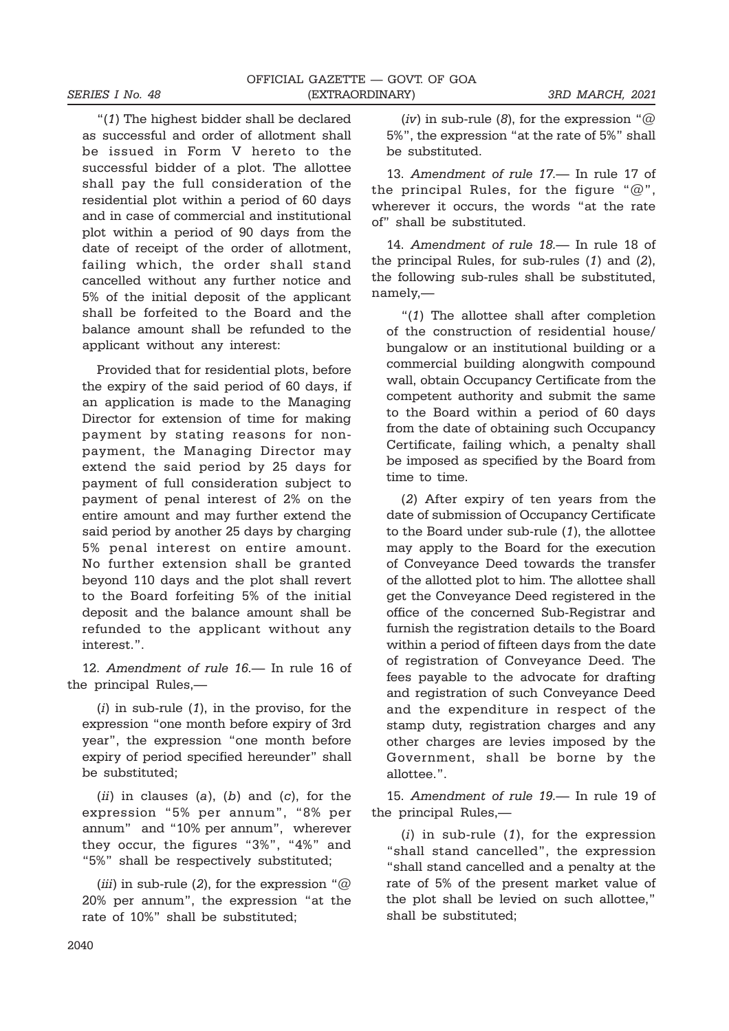"(1) The highest bidder shall be declared as successful and order of allotment shall be issued in Form V hereto to the successful bidder of a plot. The allottee shall pay the full consideration of the residential plot within a period of 60 days and in case of commercial and institutional plot within a period of 90 days from the date of receipt of the order of allotment, failing which, the order shall stand cancelled without any further notice and 5% of the initial deposit of the applicant shall be forfeited to the Board and the balance amount shall be refunded to the applicant without any interest:

Provided that for residential plots, before the expiry of the said period of 60 days, if an application is made to the Managing Director for extension of time for making payment by stating reasons for nonpayment, the Managing Director may extend the said period by 25 days for payment of full consideration subject to payment of penal interest of 2% on the entire amount and may further extend the said period by another 25 days by charging 5% penal interest on entire amount. No further extension shall be granted beyond 110 days and the plot shall revert to the Board forfeiting 5% of the initial deposit and the balance amount shall be refunded to the applicant without any interest.".

12. Amendment of rule 16.— In rule 16 of the principal Rules,—

 $(i)$  in sub-rule  $(1)$ , in the proviso, for the expression "one month before expiry of 3rd year", the expression "one month before expiry of period specified hereunder" shall be substituted;

 $(ii)$  in clauses  $(a)$ ,  $(b)$  and  $(c)$ , for the expression "5% per annum", "8% per annum" and "10% per annum", wherever they occur, the figures "3%", "4%" and "5%" shall be respectively substituted;

(iii) in sub-rule (2), for the expression " $@$ 20% per annum", the expression "at the rate of 10%" shall be substituted;

(iv) in sub-rule (8), for the expression " $@$ 5%", the expression "at the rate of 5%" shall be substituted.

13. Amendment of rule 17.— In rule 17 of the principal Rules, for the figure " $@$ ", wherever it occurs, the words "at the rate of" shall be substituted.

14. Amendment of rule 18.— In rule 18 of the principal Rules, for sub-rules (1) and (2), the following sub-rules shall be substituted, namely,—

"(1) The allottee shall after completion of the construction of residential house/ bungalow or an institutional building or a commercial building alongwith compound wall, obtain Occupancy Certificate from the competent authority and submit the same to the Board within a period of 60 days from the date of obtaining such Occupancy Certificate, failing which, a penalty shall be imposed as specified by the Board from time to time.

(2) After expiry of ten years from the date of submission of Occupancy Certificate to the Board under sub-rule (1), the allottee may apply to the Board for the execution of Conveyance Deed towards the transfer of the allotted plot to him. The allottee shall get the Conveyance Deed registered in the office of the concerned Sub-Registrar and furnish the registration details to the Board within a period of fifteen days from the date of registration of Conveyance Deed. The fees payable to the advocate for drafting and registration of such Conveyance Deed and the expenditure in respect of the stamp duty, registration charges and any other charges are levies imposed by the Government, shall be borne by the allottee.".

15. Amendment of rule 19.— In rule 19 of the principal Rules,—

 $(i)$  in sub-rule  $(1)$ , for the expression "shall stand cancelled", the expression "shall stand cancelled and a penalty at the rate of 5% of the present market value of the plot shall be levied on such allottee," shall be substituted;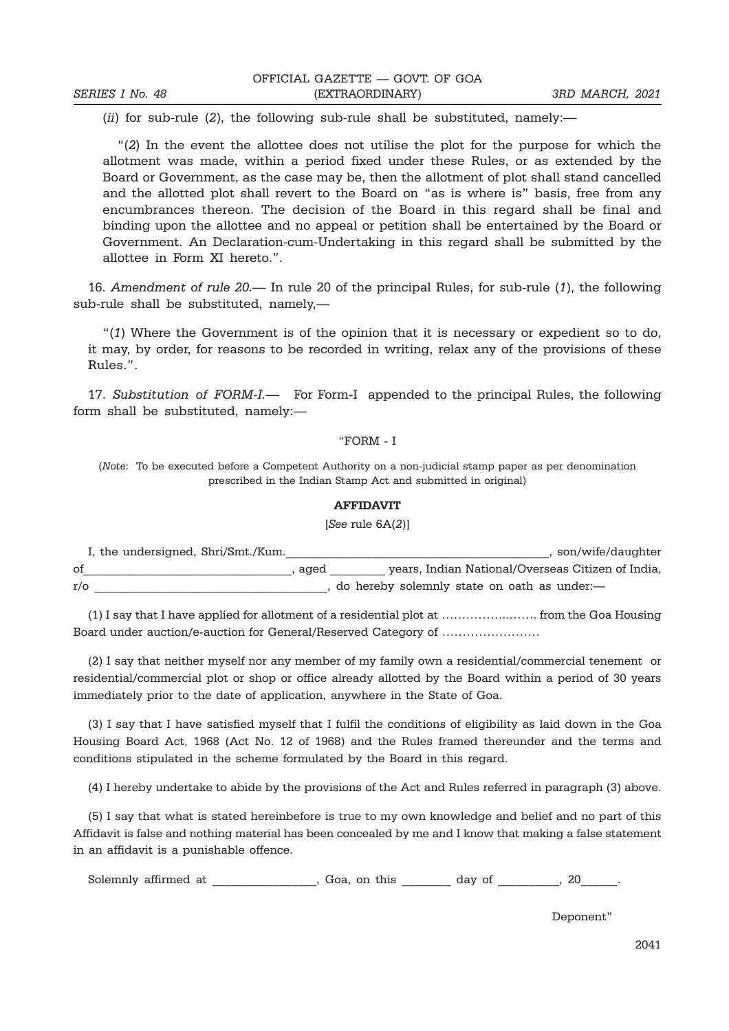$(ii)$  for sub-rule  $(2)$ , the following sub-rule shall be substituted, namely:

"(2) In the event the allottee does not utilise the plot for the purpose for which the allotment was made, within a period fixed under these Rules, or as extended by the Board or Government, as the case may be, then the allotment of plot shall stand cancelled and the allotted plot shall revert to the Board on "as is where is" basis, free from any encumbrances thereon. The decision of the Board in this regard shall be final and binding upon the allottee and no appeal or petition shall be entertained by the Board or Government. An Declaration-cum-Undertaking in this regard shall be submitted by the allottee in Form XI hereto.".

16. Amendment of rule 20.— In rule 20 of the principal Rules, for sub-rule (1), the following sub-rule shall be substituted, namely,—

"(1) Where the Government is of the opinion that it is necessary or expedient so to do, it may, by order, for reasons to be recorded in writing, relax any of the provisions of these Rules.".

17. Substitution of FORM-I.— For Form-I appended to the principal Rules, the following form shall be substituted, namely:—

#### "FORM - I

(Note: To be executed before a Competent Authority on a non-judicial stamp paper as per denomination prescribed in the Indian Stamp Act and submitted in original)

#### AFFIDAVIT

[See rule 6A(2)]

|           | I, the undersigned, Shri/Smt./Kum. |      | son/wife/daughter                                 |
|-----------|------------------------------------|------|---------------------------------------------------|
| οf        |                                    | aged | years, Indian National/Overseas Citizen of India. |
| $r/\circ$ |                                    |      | do hereby solemnly state on oath as under:—       |

(1) I say that I have applied for allotment of a residential plot at ……………..……. from the Goa Housing Board under auction/e-auction for General/Reserved Category of ……………………

(2) I say that neither myself nor any member of my family own a residential/commercial tenement or residential/commercial plot or shop or office already allotted by the Board within a period of 30 years immediately prior to the date of application, anywhere in the State of Goa.

(3) I say that I have satisfied myself that I fulfil the conditions of eligibility as laid down in the Goa Housing Board Act, 1968 (Act No. 12 of 1968) and the Rules framed thereunder and the terms and conditions stipulated in the scheme formulated by the Board in this regard.

(4) I hereby undertake to abide by the provisions of the Act and Rules referred in paragraph (3) above.

(5) I say that what is stated hereinbefore is true to my own knowledge and belief and no part of this Affidavit is false and nothing material has been concealed by me and I know that making a false statement in an affidavit is a punishable offence.

Solemnly affirmed at  $\qquad \qquad$  , Goa, on this  $\qquad \qquad$  day of  $\qquad \qquad$  , 20

Deponent"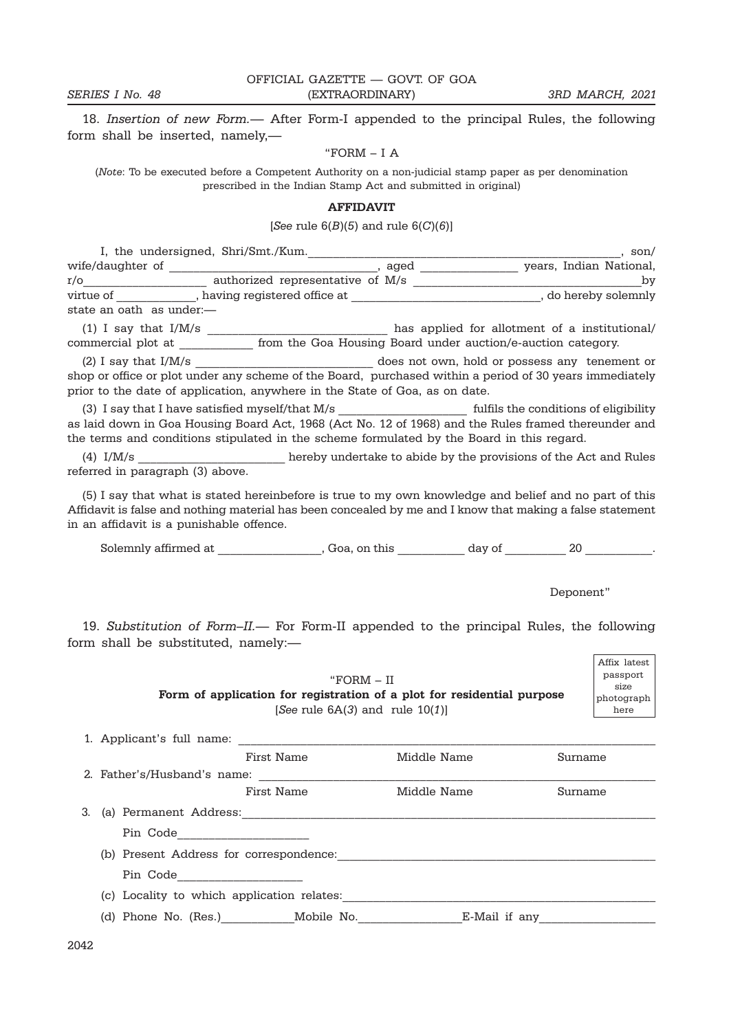18. Insertion of new Form.— After Form-I appended to the principal Rules, the following form shall be inserted, namely,—

#### "FORM – I A

(Note: To be executed before a Competent Authority on a non-judicial stamp paper as per denomination prescribed in the Indian Stamp Act and submitted in original)

#### AFFIDAVIT

#### [See rule  $6(B)(5)$  and rule  $6(C)(6)$ ]

| I, the undersigned, Shri/Smt./Kum. |                                  |      | son/                                                                                                     |
|------------------------------------|----------------------------------|------|----------------------------------------------------------------------------------------------------------|
| wife/daughter of                   |                                  | aged | years, Indian National,                                                                                  |
| r/o                                | authorized representative of M/s |      | by                                                                                                       |
| virtue of                          | having registered office at      |      | do hereby solemnly                                                                                       |
| state an oath  as under:—          |                                  |      |                                                                                                          |
| $(1)$ I say that I/M/s             |                                  |      | has applied for allotment of a institutional/                                                            |
| commercial plot at                 |                                  |      | from the Goa Housing Board under auction/e-auction category.                                             |
| $(2)$ I say that I/M/s             |                                  |      | does not own, hold or possess any tenement or                                                            |
|                                    |                                  |      | reduced or three or plot under any schome of the Roard purchased within a period of 30 years immediately |

shop or office or plot under any scheme of the Board, purchased within a period of 30 years immediately prior to the date of application, anywhere in the State of Goa, as on date.

(3) I say that I have satisfied myself/that M/s \_\_\_\_\_\_\_\_\_\_\_\_\_\_\_\_\_\_\_\_\_\_\_\_\_\_\_\_\_\_\_\_\_ fulfils the conditions of eligibility as laid down in Goa Housing Board Act, 1968 (Act No. 12 of 1968) and the Rules framed thereunder and the terms and conditions stipulated in the scheme formulated by the Board in this regard.

(4) I/M/s \_\_\_\_\_\_\_\_\_\_\_\_\_\_\_\_\_\_\_\_\_\_\_\_ hereby undertake to abide by the provisions of the Act and Rules referred in paragraph (3) above.

(5) I say that what is stated hereinbefore is true to my own knowledge and belief and no part of this Affidavit is false and nothing material has been concealed by me and I know that making a false statement in an affidavit is a punishable offence.

Solemnly affirmed at \_\_\_\_\_\_\_\_\_\_\_\_\_\_\_, Goa, on this \_\_\_\_\_\_\_\_\_\_ day of \_\_\_\_\_\_\_\_\_\_\_ 20 \_\_\_\_\_\_\_\_\_\_.

#### Deponent"

19. Substitution of Form–II.— For Form-II appended to the principal Rules, the following form shall be substituted, namely:—

"FORM – II Form of application for registration of a plot for residential purpose [See rule  $6A(3)$  and rule  $10(1)$ ] Affix latest passport size photograph here

|    | 1. Applicant's full name:                  |            |               |         |  |  |
|----|--------------------------------------------|------------|---------------|---------|--|--|
|    |                                            | First Name | Middle Name   | Surname |  |  |
|    | 2. Father's/Husband's name:                |            |               |         |  |  |
|    |                                            | First Name | Middle Name   | Surname |  |  |
| 3. | (a) Permanent Address:                     |            |               |         |  |  |
|    | Pin Code                                   |            |               |         |  |  |
|    | (b) Present Address for correspondence:    |            |               |         |  |  |
|    | Pin Code                                   |            |               |         |  |  |
|    | (c) Locality to which application relates: |            |               |         |  |  |
|    | (d) Phone No. (Res.) Mobile No.            |            | E-Mail if any |         |  |  |
|    |                                            |            |               |         |  |  |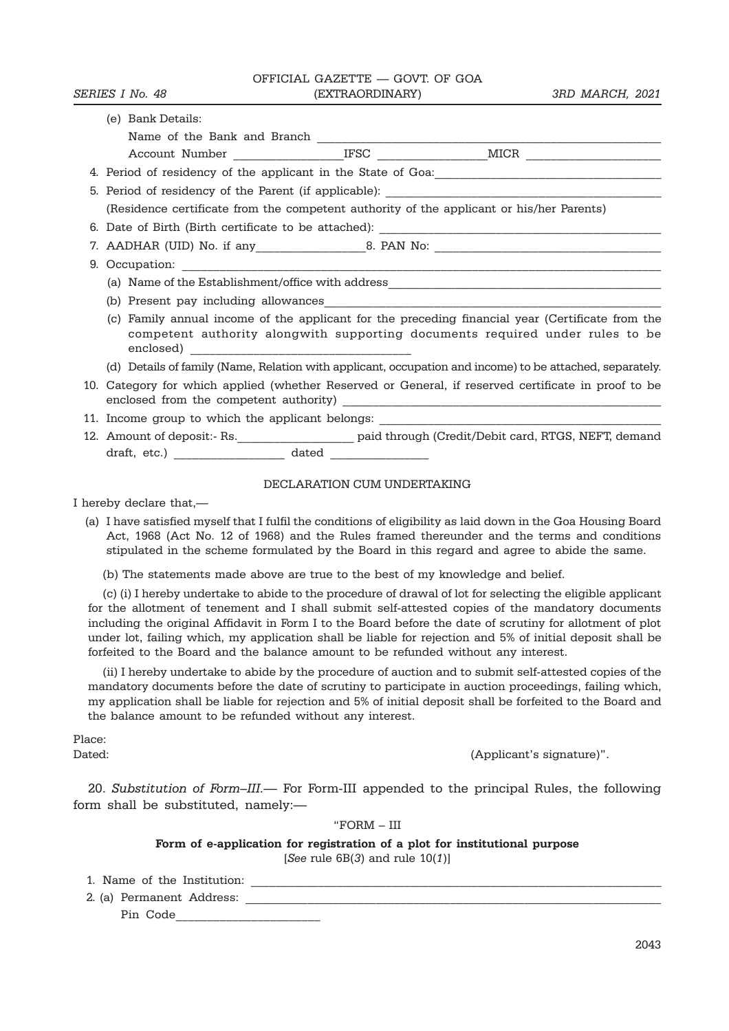OFFICIAL GAZETTE — GOVT. OF GOA

| (e) Bank Details:                                                                                                                                                                              |  |  |  |  |  |  |
|------------------------------------------------------------------------------------------------------------------------------------------------------------------------------------------------|--|--|--|--|--|--|
|                                                                                                                                                                                                |  |  |  |  |  |  |
|                                                                                                                                                                                                |  |  |  |  |  |  |
|                                                                                                                                                                                                |  |  |  |  |  |  |
| 5. Period of residency of the Parent (if applicable):                                                                                                                                          |  |  |  |  |  |  |
| (Residence certificate from the competent authority of the applicant or his/her Parents)                                                                                                       |  |  |  |  |  |  |
|                                                                                                                                                                                                |  |  |  |  |  |  |
|                                                                                                                                                                                                |  |  |  |  |  |  |
|                                                                                                                                                                                                |  |  |  |  |  |  |
|                                                                                                                                                                                                |  |  |  |  |  |  |
|                                                                                                                                                                                                |  |  |  |  |  |  |
| (c) Family annual income of the applicant for the preceding financial year (Certificate from the<br>competent authority alongwith supporting documents required under rules to be<br>enclosed) |  |  |  |  |  |  |
| (d) Details of family (Name, Relation with applicant, occupation and income) to be attached, separately.                                                                                       |  |  |  |  |  |  |
| 10. Category for which applied (whether Reserved or General, if reserved certificate in proof to be                                                                                            |  |  |  |  |  |  |
| 11. Income group to which the applicant belongs: _______________________________                                                                                                               |  |  |  |  |  |  |
| 12. Amount of deposit:- Rs. _______________________ paid through (Credit/Debit card, RTGS, NEFT, demand                                                                                        |  |  |  |  |  |  |
|                                                                                                                                                                                                |  |  |  |  |  |  |
| DECILA DA PIONI CITALITATIO PROTATIO                                                                                                                                                           |  |  |  |  |  |  |

#### DECLARATION CUM UNDERTAKING

I hereby declare that,—

(a) I have satisfied myself that I fulfil the conditions of eligibility as laid down in the Goa Housing Board Act, 1968 (Act No. 12 of 1968) and the Rules framed thereunder and the terms and conditions stipulated in the scheme formulated by the Board in this regard and agree to abide the same.

(b) The statements made above are true to the best of my knowledge and belief.

(c) (i) I hereby undertake to abide to the procedure of drawal of lot for selecting the eligible applicant for the allotment of tenement and I shall submit self-attested copies of the mandatory documents including the original Affidavit in Form I to the Board before the date of scrutiny for allotment of plot under lot, failing which, my application shall be liable for rejection and 5% of initial deposit shall be forfeited to the Board and the balance amount to be refunded without any interest.

(ii) I hereby undertake to abide by the procedure of auction and to submit self-attested copies of the mandatory documents before the date of scrutiny to participate in auction proceedings, failing which, my application shall be liable for rejection and 5% of initial deposit shall be forfeited to the Board and the balance amount to be refunded without any interest.

Place:

Dated: (Applicant's signature)".

20. Substitution of Form–III.— For Form-III appended to the principal Rules, the following form shall be substituted, namely:—

"FORM – III

Form of e-application for registration of a plot for institutional purpose

[See rule  $6B(3)$  and rule  $10(1)$ ]

1. Name of the Institution:

2. (a) Permanent Address: \_\_\_\_\_\_\_\_\_\_\_\_\_\_\_\_\_\_\_\_\_\_\_\_\_\_\_\_\_\_\_\_\_\_\_\_\_\_\_\_\_\_\_\_\_\_\_\_\_\_\_\_\_\_\_\_\_\_\_\_\_\_\_\_\_\_\_

Pin Code\_\_\_\_\_\_\_\_\_\_\_\_\_\_\_\_\_\_\_\_\_\_\_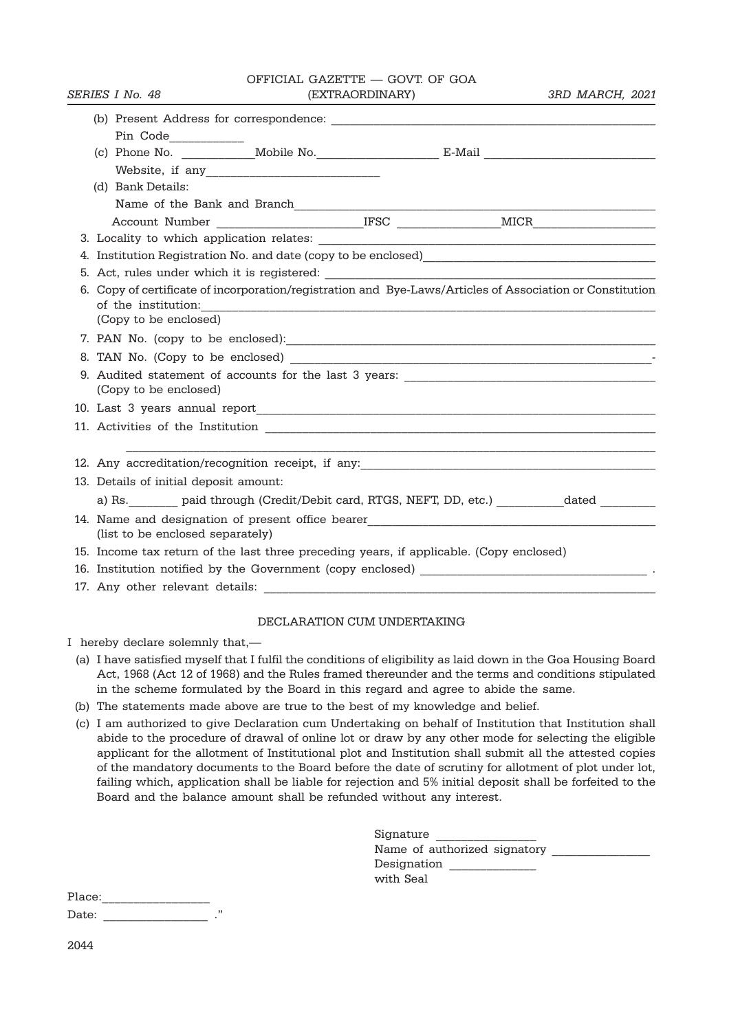|  |                                              |  | OFFICIAL GAZETTE - GOVT. OF GOA                                                         |  |                                                                                                           |
|--|----------------------------------------------|--|-----------------------------------------------------------------------------------------|--|-----------------------------------------------------------------------------------------------------------|
|  | SERIES I No. 48                              |  | (EXTRAORDINARY)                                                                         |  | 3RD MARCH, 2021                                                                                           |
|  |                                              |  |                                                                                         |  |                                                                                                           |
|  | Pin Code____________                         |  |                                                                                         |  |                                                                                                           |
|  |                                              |  |                                                                                         |  |                                                                                                           |
|  |                                              |  |                                                                                         |  |                                                                                                           |
|  | (d) Bank Details:                            |  |                                                                                         |  |                                                                                                           |
|  |                                              |  |                                                                                         |  |                                                                                                           |
|  |                                              |  |                                                                                         |  |                                                                                                           |
|  |                                              |  |                                                                                         |  |                                                                                                           |
|  |                                              |  |                                                                                         |  |                                                                                                           |
|  |                                              |  |                                                                                         |  |                                                                                                           |
|  |                                              |  |                                                                                         |  | 6. Copy of certificate of incorporation/registration and Bye-Laws/Articles of Association or Constitution |
|  | of the institution:<br>(Copy to be enclosed) |  |                                                                                         |  |                                                                                                           |
|  |                                              |  |                                                                                         |  |                                                                                                           |
|  |                                              |  |                                                                                         |  |                                                                                                           |
|  |                                              |  |                                                                                         |  |                                                                                                           |
|  | (Copy to be enclosed)                        |  |                                                                                         |  |                                                                                                           |
|  |                                              |  |                                                                                         |  |                                                                                                           |
|  |                                              |  |                                                                                         |  |                                                                                                           |
|  |                                              |  |                                                                                         |  |                                                                                                           |
|  |                                              |  |                                                                                         |  |                                                                                                           |
|  | 13. Details of initial deposit amount:       |  |                                                                                         |  |                                                                                                           |
|  |                                              |  |                                                                                         |  | a) Rs. ________ paid through (Credit/Debit card, RTGS, NEFT, DD, etc.) ___________ dated ___________      |
|  |                                              |  |                                                                                         |  |                                                                                                           |
|  | (list to be enclosed separately)             |  |                                                                                         |  |                                                                                                           |
|  |                                              |  | 15. Income tax return of the last three preceding years, if applicable. (Copy enclosed) |  |                                                                                                           |
|  |                                              |  |                                                                                         |  |                                                                                                           |
|  |                                              |  |                                                                                         |  |                                                                                                           |
|  |                                              |  |                                                                                         |  |                                                                                                           |

#### DECLARATION CUM UNDERTAKING

I hereby declare solemnly that,—

- (a) I have satisfied myself that I fulfil the conditions of eligibility as laid down in the Goa Housing Board Act, 1968 (Act 12 of 1968) and the Rules framed thereunder and the terms and conditions stipulated in the scheme formulated by the Board in this regard and agree to abide the same.
- (b) The statements made above are true to the best of my knowledge and belief.
- (c) I am authorized to give Declaration cum Undertaking on behalf of Institution that Institution shall abide to the procedure of drawal of online lot or draw by any other mode for selecting the eligible applicant for the allotment of Institutional plot and Institution shall submit all the attested copies of the mandatory documents to the Board before the date of scrutiny for allotment of plot under lot, failing which, application shall be liable for rejection and 5% initial deposit shall be forfeited to the Board and the balance amount shall be refunded without any interest.

| Signature                    |
|------------------------------|
| Name of authorized signatory |
| Designation                  |
| with Seal                    |

Place:\_\_\_\_\_\_\_\_\_\_\_\_\_\_\_\_\_

Date: \_\_\_\_\_\_\_\_\_\_\_\_\_\_\_\_\_ ."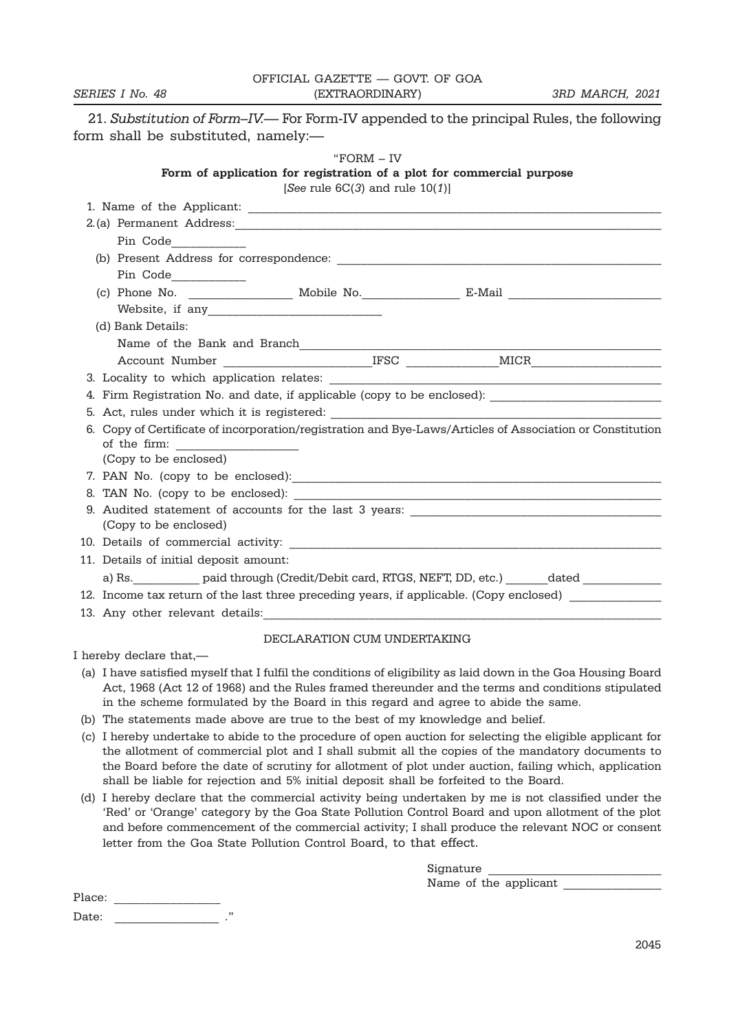|                 | OFFICIAL GAZETTE — GOVT. OF GOA |                 |
|-----------------|---------------------------------|-----------------|
| SERIES I No. 48 | (EXTRAORDINARY)                 | 3RD MARCH, 2021 |

21. Substitution of Form–IV.— For Form-IV appended to the principal Rules, the following form shall be substituted, namely:—

#### "FORM – IV

#### Form of application for registration of a plot for commercial purpose

[See rule  $6C(3)$  and rule  $10(1)$ ]

| Pin Code____________                                                                                      |                             |  |
|-----------------------------------------------------------------------------------------------------------|-----------------------------|--|
|                                                                                                           |                             |  |
| Pin Code_____________                                                                                     |                             |  |
|                                                                                                           |                             |  |
|                                                                                                           |                             |  |
| (d) Bank Details:                                                                                         |                             |  |
| Name of the Bank and Branch                                                                               |                             |  |
|                                                                                                           |                             |  |
|                                                                                                           |                             |  |
| 4. Firm Registration No. and date, if applicable (copy to be enclosed): ____________________________      |                             |  |
|                                                                                                           |                             |  |
| 6. Copy of Certificate of incorporation/registration and Bye-Laws/Articles of Association or Constitution |                             |  |
|                                                                                                           |                             |  |
| (Copy to be enclosed)                                                                                     |                             |  |
|                                                                                                           |                             |  |
|                                                                                                           |                             |  |
|                                                                                                           |                             |  |
| (Copy to be enclosed)                                                                                     |                             |  |
|                                                                                                           |                             |  |
| 11. Details of initial deposit amount:                                                                    |                             |  |
| a) Rs. ____________ paid through (Credit/Debit card, RTGS, NEFT, DD, etc.) _______dated ____________      |                             |  |
| 12. Income tax return of the last three preceding years, if applicable. (Copy enclosed)                   |                             |  |
|                                                                                                           |                             |  |
|                                                                                                           | DECLARATION CUM UNDERTAKING |  |

I hereby declare that,—

- (a) I have satisfied myself that I fulfil the conditions of eligibility as laid down in the Goa Housing Board Act, 1968 (Act 12 of 1968) and the Rules framed thereunder and the terms and conditions stipulated in the scheme formulated by the Board in this regard and agree to abide the same.
- (b) The statements made above are true to the best of my knowledge and belief.
- (c) I hereby undertake to abide to the procedure of open auction for selecting the eligible applicant for the allotment of commercial plot and I shall submit all the copies of the mandatory documents to the Board before the date of scrutiny for allotment of plot under auction, failing which, application shall be liable for rejection and 5% initial deposit shall be forfeited to the Board.
- (d) I hereby declare that the commercial activity being undertaken by me is not classified under the 'Red' or 'Orange' category by the Goa State Pollution Control Board and upon allotment of the plot and before commencement of the commercial activity; I shall produce the relevant NOC or consent letter from the Goa State Pollution Control Board, to that effect.

| Signature             |  |
|-----------------------|--|
| Name of the applicant |  |

Place: Date: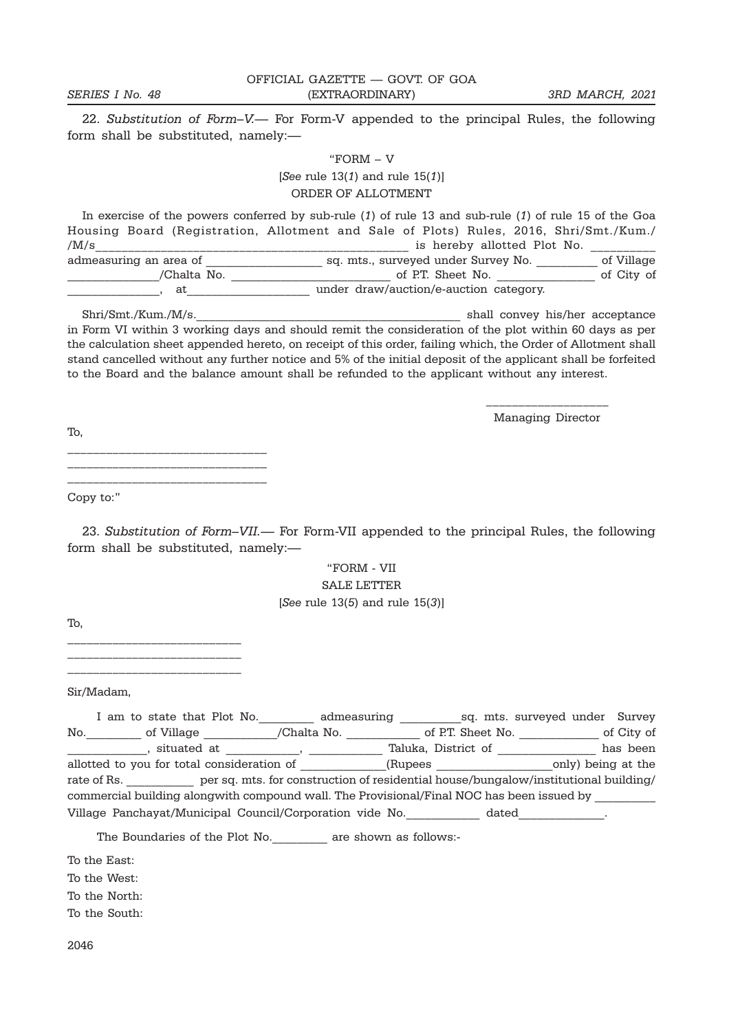OFFICIAL GAZETTE — GOVT. OF GOA SERIES I No. 48 (EXTRAORDINARY) 3RD MARCH, 2021

22. Substitution of Form–V.— For Form-V appended to the principal Rules, the following form shall be substituted, namely:—

#### "FORM – V

[See rule  $13(1)$  and rule  $15(1)$ ] ORDER OF ALLOTMENT

In exercise of the powers conferred by sub-rule (1) of rule 13 and sub-rule (1) of rule 15 of the Goa Housing Board (Registration, Allotment and Sale of Plots) Rules, 2016, Shri/Smt./Kum./ /M/s admeasuring an area of \_\_\_\_\_\_\_\_\_\_\_\_\_\_\_\_\_\_\_ sq. mts., surveyed under Survey No. \_\_\_\_\_\_\_\_\_\_ of Village \_\_\_\_\_\_\_\_\_\_\_\_\_\_\_/Chalta No. \_\_\_\_\_\_\_\_\_\_\_\_\_\_\_\_\_\_\_\_\_\_\_\_\_\_ of P.T. Sheet No. \_\_\_\_\_\_\_\_\_\_\_\_\_\_\_\_ of City of \_\_\_\_\_\_\_\_\_\_\_\_\_\_\_, at\_\_\_\_\_\_\_\_\_\_\_\_\_\_\_\_\_\_\_\_ under draw/auction/e-auction category.

Shri/Smt./Kum./M/s.\_\_\_\_\_\_\_\_\_\_\_\_\_\_\_\_\_\_\_\_\_\_\_\_\_\_\_\_\_\_\_\_\_\_\_\_\_\_\_\_\_\_\_ shall convey his/her acceptance in Form VI within 3 working days and should remit the consideration of the plot within 60 days as per the calculation sheet appended hereto, on receipt of this order, failing which, the Order of Allotment shall stand cancelled without any further notice and 5% of the initial deposit of the applicant shall be forfeited to the Board and the balance amount shall be refunded to the applicant without any interest.

> \_\_\_\_\_\_\_\_\_\_\_\_\_\_\_\_\_\_\_ Managing Director

To,

\_\_\_\_\_\_\_\_\_\_\_\_\_\_\_\_\_\_\_\_\_\_\_\_\_\_\_\_\_\_\_ \_\_\_\_\_\_\_\_\_\_\_\_\_\_\_\_\_\_\_\_\_\_\_\_\_\_\_\_\_\_\_ \_\_\_\_\_\_\_\_\_\_\_\_\_\_\_\_\_\_\_\_\_\_\_\_\_\_\_\_\_\_\_

Copy to:"

23. Substitution of Form–VII.— For Form-VII appended to the principal Rules, the following form shall be substituted, namely:—

> "FORM - VII SALE LETTER [See rule  $13(5)$  and rule  $15(3)$ ]

To,

\_\_\_\_\_\_\_\_\_\_\_\_\_\_\_\_\_\_\_\_\_\_\_\_\_\_\_ \_\_\_\_\_\_\_\_\_\_\_\_\_\_\_\_\_\_\_\_\_\_\_\_\_\_\_ \_\_\_\_\_\_\_\_\_\_\_\_\_\_\_\_\_\_\_\_\_\_\_\_\_\_\_

Sir/Madam,

|     | I am to state that Plot No.                                                               | admeasuring                                                                         |                     |                   | sq. mts. surveyed under Survey |                    |
|-----|-------------------------------------------------------------------------------------------|-------------------------------------------------------------------------------------|---------------------|-------------------|--------------------------------|--------------------|
| No. | of Village                                                                                | /Chalta No.                                                                         |                     | of P.T. Sheet No. |                                | of City of         |
|     | situated at                                                                               |                                                                                     | Taluka, District of |                   |                                | has been           |
|     | allotted to you for total consideration of                                                |                                                                                     | (Rupees             |                   |                                | only) being at the |
|     | rate of Rs.                                                                               | per sq. mts. for construction of residential house/bungalow/institutional building/ |                     |                   |                                |                    |
|     | commercial building alongwith compound wall. The Provisional/Final NOC has been issued by |                                                                                     |                     |                   |                                |                    |
|     | Village Panchayat/Municipal Council/Corporation vide No.                                  |                                                                                     |                     | dated             |                                |                    |

The Boundaries of the Plot No.\_\_\_\_\_\_\_\_\_ are shown as follows:-

To the East:

To the West:

To the North:

To the South: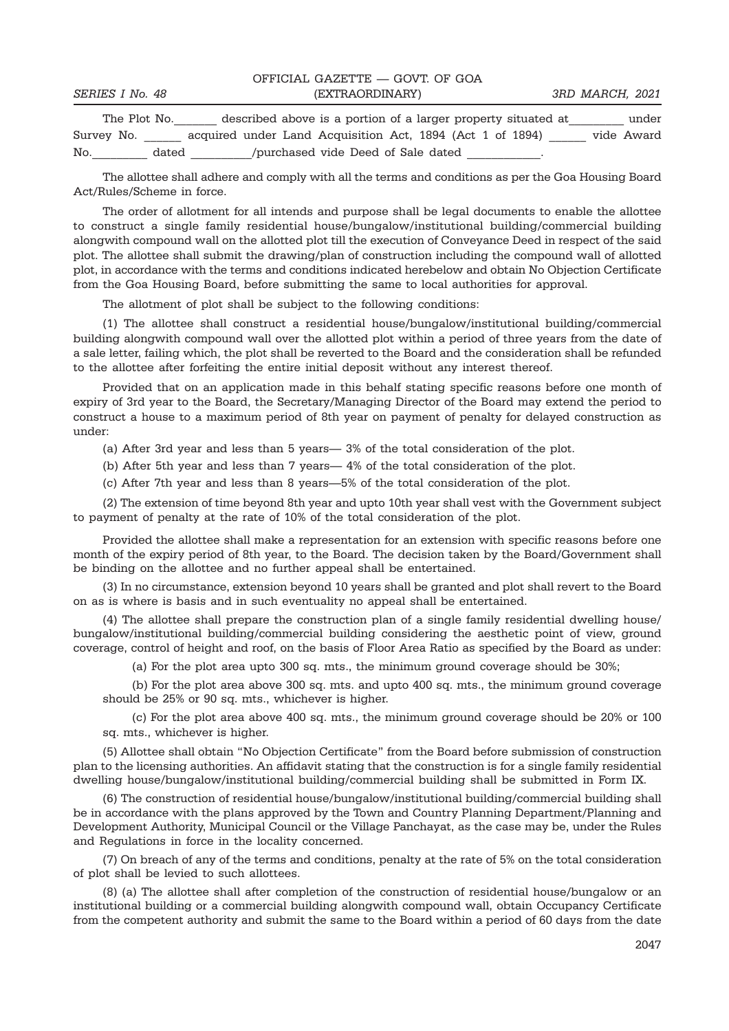|                 | OFFICIAL GAZETTE - GOVT OF GOA                                |                 |       |
|-----------------|---------------------------------------------------------------|-----------------|-------|
| SERIES I No. 48 | (EXTRAORDINARY)                                               | 3RD MARCH, 2021 |       |
| The Plot No.    | described above is a portion of a larger property situated at |                 | under |

The Plot No.\_\_\_\_\_\_\_ described above is a portion of a larger property situated at\_\_\_\_\_\_\_\_\_ under Survey No. \_\_\_\_\_\_\_ acquired under Land Acquisition Act, 1894 (Act 1 of 1894) \_\_\_\_\_ vide Award No. Mo. dated the ourchased vide Deed of Sale dated  $\sim$ 

The allottee shall adhere and comply with all the terms and conditions as per the Goa Housing Board Act/Rules/Scheme in force.

The order of allotment for all intends and purpose shall be legal documents to enable the allottee to construct a single family residential house/bungalow/institutional building/commercial building alongwith compound wall on the allotted plot till the execution of Conveyance Deed in respect of the said plot. The allottee shall submit the drawing/plan of construction including the compound wall of allotted plot, in accordance with the terms and conditions indicated herebelow and obtain No Objection Certificate from the Goa Housing Board, before submitting the same to local authorities for approval.

The allotment of plot shall be subject to the following conditions:

(1) The allottee shall construct a residential house/bungalow/institutional building/commercial building alongwith compound wall over the allotted plot within a period of three years from the date of a sale letter, failing which, the plot shall be reverted to the Board and the consideration shall be refunded to the allottee after forfeiting the entire initial deposit without any interest thereof.

Provided that on an application made in this behalf stating specific reasons before one month of expiry of 3rd year to the Board, the Secretary/Managing Director of the Board may extend the period to construct a house to a maximum period of 8th year on payment of penalty for delayed construction as under:

(a) After 3rd year and less than 5 years— 3% of the total consideration of the plot.

(b) After 5th year and less than 7 years— 4% of the total consideration of the plot.

(c) After 7th year and less than 8 years—5% of the total consideration of the plot.

(2) The extension of time beyond 8th year and upto 10th year shall vest with the Government subject to payment of penalty at the rate of 10% of the total consideration of the plot.

Provided the allottee shall make a representation for an extension with specific reasons before one month of the expiry period of 8th year, to the Board. The decision taken by the Board/Government shall be binding on the allottee and no further appeal shall be entertained.

(3) In no circumstance, extension beyond 10 years shall be granted and plot shall revert to the Board on as is where is basis and in such eventuality no appeal shall be entertained.

(4) The allottee shall prepare the construction plan of a single family residential dwelling house/ bungalow/institutional building/commercial building considering the aesthetic point of view, ground coverage, control of height and roof, on the basis of Floor Area Ratio as specified by the Board as under:

(a) For the plot area upto 300 sq. mts., the minimum ground coverage should be 30%;

(b) For the plot area above 300 sq. mts. and upto 400 sq. mts., the minimum ground coverage should be 25% or 90 sq. mts., whichever is higher.

(c) For the plot area above 400 sq. mts., the minimum ground coverage should be 20% or 100 sq. mts., whichever is higher.

(5) Allottee shall obtain "No Objection Certificate" from the Board before submission of construction plan to the licensing authorities. An affidavit stating that the construction is for a single family residential dwelling house/bungalow/institutional building/commercial building shall be submitted in Form IX.

(6) The construction of residential house/bungalow/institutional building/commercial building shall be in accordance with the plans approved by the Town and Country Planning Department/Planning and Development Authority, Municipal Council or the Village Panchayat, as the case may be, under the Rules and Regulations in force in the locality concerned.

(7) On breach of any of the terms and conditions, penalty at the rate of 5% on the total consideration of plot shall be levied to such allottees.

(8) (a) The allottee shall after completion of the construction of residential house/bungalow or an institutional building or a commercial building alongwith compound wall, obtain Occupancy Certificate from the competent authority and submit the same to the Board within a period of 60 days from the date